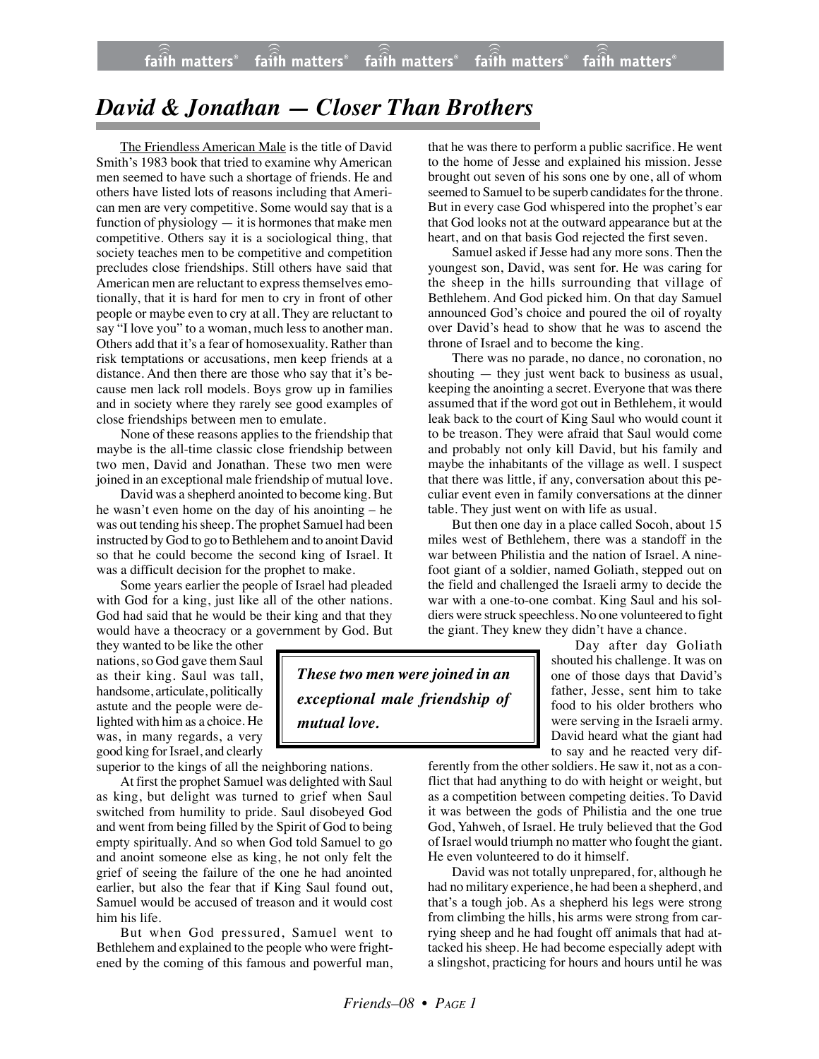## *David & Jonathan — Closer Than Brothers*

The Friendless American Male is the title of David Smith's 1983 book that tried to examine why American men seemed to have such a shortage of friends. He and others have listed lots of reasons including that American men are very competitive. Some would say that is a function of physiology  $-$  it is hormones that make men competitive. Others say it is a sociological thing, that society teaches men to be competitive and competition precludes close friendships. Still others have said that American men are reluctant to express themselves emotionally, that it is hard for men to cry in front of other people or maybe even to cry at all. They are reluctant to say "I love you" to a woman, much less to another man. Others add that it's a fear of homosexuality. Rather than risk temptations or accusations, men keep friends at a distance. And then there are those who say that it's because men lack roll models. Boys grow up in families and in society where they rarely see good examples of close friendships between men to emulate.

None of these reasons applies to the friendship that maybe is the all-time classic close friendship between two men, David and Jonathan. These two men were joined in an exceptional male friendship of mutual love.

David was a shepherd anointed to become king. But he wasn't even home on the day of his anointing – he was out tending his sheep. The prophet Samuel had been instructed by God to go to Bethlehem and to anoint David so that he could become the second king of Israel. It was a difficult decision for the prophet to make.

Some years earlier the people of Israel had pleaded with God for a king, just like all of the other nations. God had said that he would be their king and that they would have a theocracy or a government by God. But

they wanted to be like the other nations, so God gave them Saul as their king. Saul was tall, handsome, articulate, politically astute and the people were delighted with him as a choice. He was, in many regards, a very good king for Israel, and clearly

superior to the kings of all the neighboring nations.

At first the prophet Samuel was delighted with Saul as king, but delight was turned to grief when Saul switched from humility to pride. Saul disobeyed God and went from being filled by the Spirit of God to being empty spiritually. And so when God told Samuel to go and anoint someone else as king, he not only felt the grief of seeing the failure of the one he had anointed earlier, but also the fear that if King Saul found out, Samuel would be accused of treason and it would cost him his life.

But when God pressured, Samuel went to Bethlehem and explained to the people who were frightened by the coming of this famous and powerful man,

that he was there to perform a public sacrifice. He went to the home of Jesse and explained his mission. Jesse brought out seven of his sons one by one, all of whom seemed to Samuel to be superb candidates for the throne. But in every case God whispered into the prophet's ear that God looks not at the outward appearance but at the heart, and on that basis God rejected the first seven.

Samuel asked if Jesse had any more sons. Then the youngest son, David, was sent for. He was caring for the sheep in the hills surrounding that village of Bethlehem. And God picked him. On that day Samuel announced God's choice and poured the oil of royalty over David's head to show that he was to ascend the throne of Israel and to become the king.

There was no parade, no dance, no coronation, no shouting — they just went back to business as usual, keeping the anointing a secret. Everyone that was there assumed that if the word got out in Bethlehem, it would leak back to the court of King Saul who would count it to be treason. They were afraid that Saul would come and probably not only kill David, but his family and maybe the inhabitants of the village as well. I suspect that there was little, if any, conversation about this peculiar event even in family conversations at the dinner table. They just went on with life as usual.

But then one day in a place called Socoh, about 15 miles west of Bethlehem, there was a standoff in the war between Philistia and the nation of Israel. A ninefoot giant of a soldier, named Goliath, stepped out on the field and challenged the Israeli army to decide the war with a one-to-one combat. King Saul and his soldiers were struck speechless. No one volunteered to fight the giant. They knew they didn't have a chance.

> Day after day Goliath shouted his challenge. It was on one of those days that David's father, Jesse, sent him to take food to his older brothers who were serving in the Israeli army. David heard what the giant had to say and he reacted very dif-

ferently from the other soldiers. He saw it, not as a conflict that had anything to do with height or weight, but as a competition between competing deities. To David it was between the gods of Philistia and the one true God, Yahweh, of Israel. He truly believed that the God of Israel would triumph no matter who fought the giant. He even volunteered to do it himself.

David was not totally unprepared, for, although he had no military experience, he had been a shepherd, and that's a tough job. As a shepherd his legs were strong from climbing the hills, his arms were strong from carrying sheep and he had fought off animals that had attacked his sheep. He had become especially adept with a slingshot, practicing for hours and hours until he was

*These two men were joined in an exceptional male friendship of mutual love.*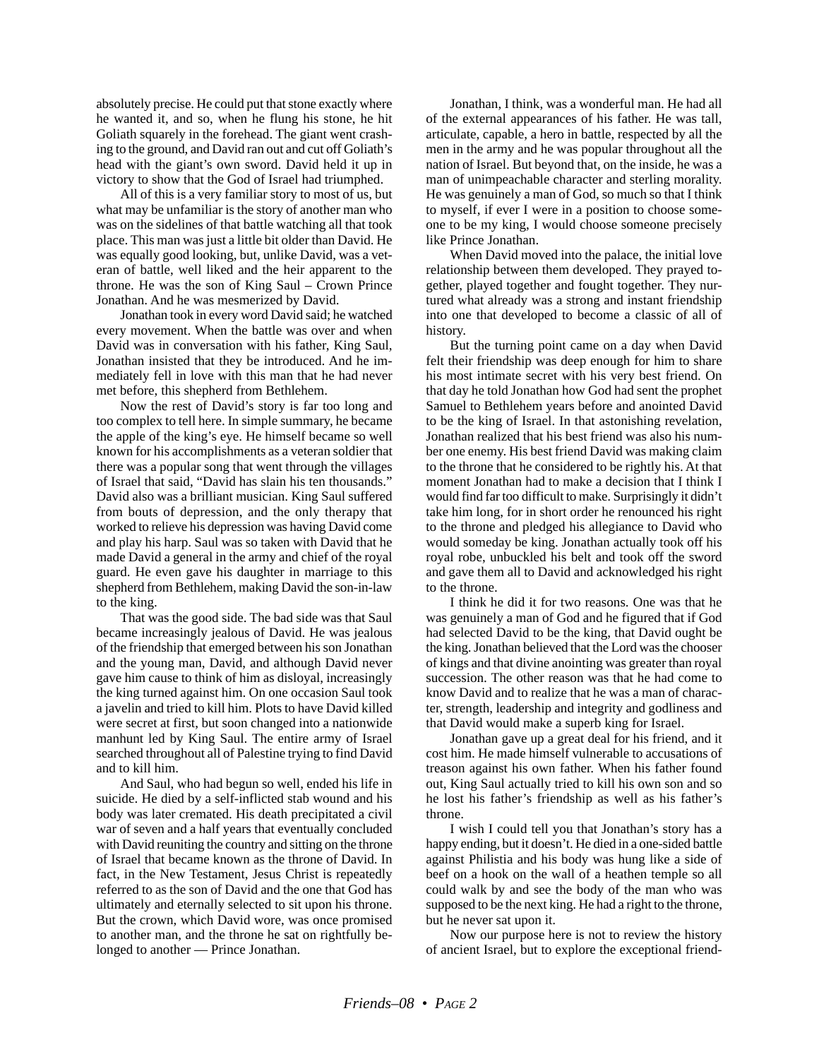absolutely precise. He could put that stone exactly where he wanted it, and so, when he flung his stone, he hit Goliath squarely in the forehead. The giant went crashing to the ground, and David ran out and cut off Goliath's head with the giant's own sword. David held it up in victory to show that the God of Israel had triumphed.

All of this is a very familiar story to most of us, but what may be unfamiliar is the story of another man who was on the sidelines of that battle watching all that took place. This man was just a little bit older than David. He was equally good looking, but, unlike David, was a veteran of battle, well liked and the heir apparent to the throne. He was the son of King Saul – Crown Prince Jonathan. And he was mesmerized by David.

Jonathan took in every word David said; he watched every movement. When the battle was over and when David was in conversation with his father, King Saul, Jonathan insisted that they be introduced. And he immediately fell in love with this man that he had never met before, this shepherd from Bethlehem.

Now the rest of David's story is far too long and too complex to tell here. In simple summary, he became the apple of the king's eye. He himself became so well known for his accomplishments as a veteran soldier that there was a popular song that went through the villages of Israel that said, "David has slain his ten thousands." David also was a brilliant musician. King Saul suffered from bouts of depression, and the only therapy that worked to relieve his depression was having David come and play his harp. Saul was so taken with David that he made David a general in the army and chief of the royal guard. He even gave his daughter in marriage to this shepherd from Bethlehem, making David the son-in-law to the king.

That was the good side. The bad side was that Saul became increasingly jealous of David. He was jealous of the friendship that emerged between his son Jonathan and the young man, David, and although David never gave him cause to think of him as disloyal, increasingly the king turned against him. On one occasion Saul took a javelin and tried to kill him. Plots to have David killed were secret at first, but soon changed into a nationwide manhunt led by King Saul. The entire army of Israel searched throughout all of Palestine trying to find David and to kill him.

And Saul, who had begun so well, ended his life in suicide. He died by a self-inflicted stab wound and his body was later cremated. His death precipitated a civil war of seven and a half years that eventually concluded with David reuniting the country and sitting on the throne of Israel that became known as the throne of David. In fact, in the New Testament, Jesus Christ is repeatedly referred to as the son of David and the one that God has ultimately and eternally selected to sit upon his throne. But the crown, which David wore, was once promised to another man, and the throne he sat on rightfully belonged to another — Prince Jonathan.

Jonathan, I think, was a wonderful man. He had all of the external appearances of his father. He was tall, articulate, capable, a hero in battle, respected by all the men in the army and he was popular throughout all the nation of Israel. But beyond that, on the inside, he was a man of unimpeachable character and sterling morality. He was genuinely a man of God, so much so that I think to myself, if ever I were in a position to choose someone to be my king, I would choose someone precisely like Prince Jonathan.

When David moved into the palace, the initial love relationship between them developed. They prayed together, played together and fought together. They nurtured what already was a strong and instant friendship into one that developed to become a classic of all of history.

But the turning point came on a day when David felt their friendship was deep enough for him to share his most intimate secret with his very best friend. On that day he told Jonathan how God had sent the prophet Samuel to Bethlehem years before and anointed David to be the king of Israel. In that astonishing revelation, Jonathan realized that his best friend was also his number one enemy. His best friend David was making claim to the throne that he considered to be rightly his. At that moment Jonathan had to make a decision that I think I would find far too difficult to make. Surprisingly it didn't take him long, for in short order he renounced his right to the throne and pledged his allegiance to David who would someday be king. Jonathan actually took off his royal robe, unbuckled his belt and took off the sword and gave them all to David and acknowledged his right to the throne.

I think he did it for two reasons. One was that he was genuinely a man of God and he figured that if God had selected David to be the king, that David ought be the king. Jonathan believed that the Lord was the chooser of kings and that divine anointing was greater than royal succession. The other reason was that he had come to know David and to realize that he was a man of character, strength, leadership and integrity and godliness and that David would make a superb king for Israel.

Jonathan gave up a great deal for his friend, and it cost him. He made himself vulnerable to accusations of treason against his own father. When his father found out, King Saul actually tried to kill his own son and so he lost his father's friendship as well as his father's throne.

I wish I could tell you that Jonathan's story has a happy ending, but it doesn't. He died in a one-sided battle against Philistia and his body was hung like a side of beef on a hook on the wall of a heathen temple so all could walk by and see the body of the man who was supposed to be the next king. He had a right to the throne, but he never sat upon it.

Now our purpose here is not to review the history of ancient Israel, but to explore the exceptional friend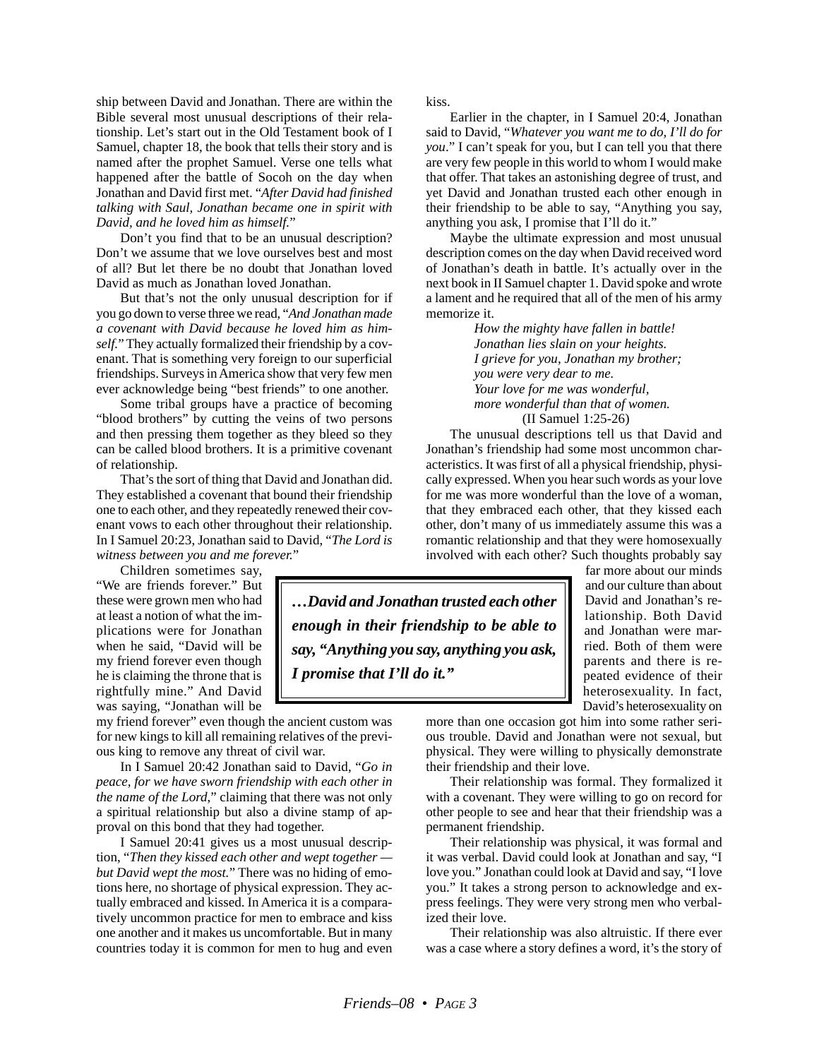ship between David and Jonathan. There are within the Bible several most unusual descriptions of their relationship. Let's start out in the Old Testament book of I Samuel, chapter 18, the book that tells their story and is named after the prophet Samuel. Verse one tells what happened after the battle of Socoh on the day when Jonathan and David first met. "*After David had finished talking with Saul, Jonathan became one in spirit with David, and he loved him as himself.*"

Don't you find that to be an unusual description? Don't we assume that we love ourselves best and most of all? But let there be no doubt that Jonathan loved David as much as Jonathan loved Jonathan.

But that's not the only unusual description for if you go down to verse three we read, "*And Jonathan made a covenant with David because he loved him as himself.*" They actually formalized their friendship by a covenant. That is something very foreign to our superficial friendships. Surveys in America show that very few men ever acknowledge being "best friends" to one another.

Some tribal groups have a practice of becoming "blood brothers" by cutting the veins of two persons and then pressing them together as they bleed so they can be called blood brothers. It is a primitive covenant of relationship.

That's the sort of thing that David and Jonathan did. They established a covenant that bound their friendship one to each other, and they repeatedly renewed their covenant vows to each other throughout their relationship. In I Samuel 20:23, Jonathan said to David, "*The Lord is witness between you and me forever.*"

Children sometimes say,

"We are friends forever." But these were grown men who had at least a notion of what the implications were for Jonathan when he said, "David will be my friend forever even though he is claiming the throne that is rightfully mine." And David was saying, "Jonathan will be

my friend forever" even though the ancient custom was for new kings to kill all remaining relatives of the previous king to remove any threat of civil war.

In I Samuel 20:42 Jonathan said to David, "*Go in peace, for we have sworn friendship with each other in the name of the Lord*," claiming that there was not only a spiritual relationship but also a divine stamp of approval on this bond that they had together.

I Samuel 20:41 gives us a most unusual description, "*Then they kissed each other and wept together but David wept the most.*" There was no hiding of emotions here, no shortage of physical expression. They actually embraced and kissed. In America it is a comparatively uncommon practice for men to embrace and kiss one another and it makes us uncomfortable. But in many countries today it is common for men to hug and even kiss.

Earlier in the chapter, in I Samuel 20:4, Jonathan said to David, "*Whatever you want me to do, I'll do for you*." I can't speak for you, but I can tell you that there are very few people in this world to whom I would make that offer. That takes an astonishing degree of trust, and yet David and Jonathan trusted each other enough in their friendship to be able to say, "Anything you say, anything you ask, I promise that I'll do it."

Maybe the ultimate expression and most unusual description comes on the day when David received word of Jonathan's death in battle. It's actually over in the next book in II Samuel chapter 1. David spoke and wrote a lament and he required that all of the men of his army memorize it.

*How the mighty have fallen in battle! Jonathan lies slain on your heights. I grieve for you, Jonathan my brother; you were very dear to me. Your love for me was wonderful, more wonderful than that of women.* (II Samuel 1:25-26)

The unusual descriptions tell us that David and Jonathan's friendship had some most uncommon characteristics. It was first of all a physical friendship, physically expressed. When you hear such words as your love for me was more wonderful than the love of a woman, that they embraced each other, that they kissed each other, don't many of us immediately assume this was a romantic relationship and that they were homosexually involved with each other? Such thoughts probably say

*…David and Jonathan trusted each other enough in their friendship to be able to say, "Anything you say, anything you ask, I promise that I'll do it."*

far more about our minds and our culture than about David and Jonathan's relationship. Both David and Jonathan were married. Both of them were parents and there is repeated evidence of their heterosexuality. In fact, David's heterosexuality on

more than one occasion got him into some rather serious trouble. David and Jonathan were not sexual, but physical. They were willing to physically demonstrate their friendship and their love.

Their relationship was formal. They formalized it with a covenant. They were willing to go on record for other people to see and hear that their friendship was a permanent friendship.

Their relationship was physical, it was formal and it was verbal. David could look at Jonathan and say, "I love you." Jonathan could look at David and say, "I love you." It takes a strong person to acknowledge and express feelings. They were very strong men who verbalized their love.

Their relationship was also altruistic. If there ever was a case where a story defines a word, it's the story of